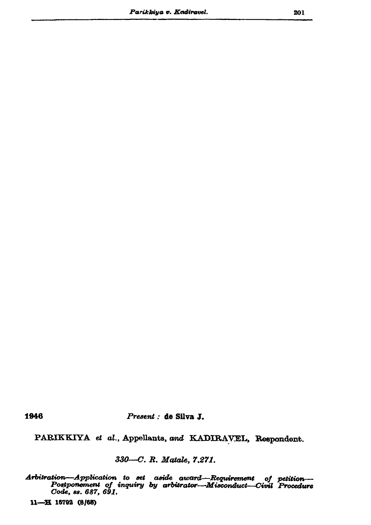1946

Present : de Silva J.

PARIKKIYA et al., Appellants, and KADIRAVEL, Respondent.

330-C. R. Matale, 7,271.

with repondent to set aside award—Requirement of petition—<br>Postponement of inquiry by arbitrator—Misconduct—Civil Procedure<br>Code, ss. 687, 691. Arbitration-Application to set aside award-Requirement

11-H 16792 (8/68)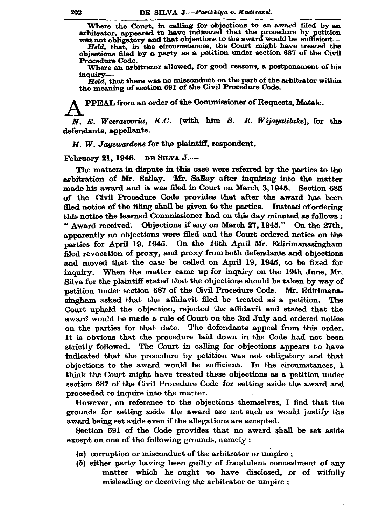Where the Court, in calling for objections to an award filed by an arbitrator, appeared to have indicated that the procedure by petition was not obligatory and that objections to the award would be sufficient-

Held, that, in the circumstances, the Court might have treated the objections filed by a party as a petition under section 687 of the Civil Procedure Code.

Where an arbitrator allowed, for good reasons, a postponement of his inquiry-

Held, that there was no misconduct on the part of the arbitrator within the meaning of section 691 of the Civil Procedure Code.

PPEAL from an order of the Commissioner of Requests, Matale.

 $N. E. Weerasooria, K.C.$  (with him S. R. Wijayatilake), for the defendants, appellants.

H. W. Jayewardene for the plaintiff, respondent.

February 21, 1946. DE SILVA J.-

The matters in dispute in this case were referred by the parties to the arbitration of Mr. Sallay. Mr. Sallay after inquiring into the matter made his award and it was filed in Court on March 3, 1945. Section 685 of the Civil Procedure Code provides that after the award has been filed notice of the filing shall be given to the parties. Instead of ordering this notice the learned Commissioner had on this day minuted as follows : " Award received. Objections if any on March 27, 1945." On the 27th. apparently no objections were filed and the Court ordered notice on the parties for April 19, 1945. On the 16th April Mr. Edirimanasingham filed revocation of proxy, and proxy from both defendants and objections and moved that the case be called on April 19, 1945, to be fixed for inquiry. When the matter came up for inquiry on the 19th June, Mr. Silva for the plaintiff stated that the objections should be taken by way of petition under section 687 of the Civil Procedure Code. Mr. Edirimanasingham asked that the affidavit filed be treated as a petition. The Court upheld the objection, rejected the affidavit and stated that the award would be made a rule of Court on the 3rd July and ordered notice on the parties for that date. The defendants appeal from this order. It is obvious that the procedure laid down in the Code had not been strictly followed. The Court in calling for objections appears to have indicated that the procedure by petition was not obligatory and that objections to the award would be sufficient. In the circumstances, I think the Court might have treated these objections as a petition under section 687 of the Civil Procedure Code for setting aside the award and proceeded to inquire into the matter.

However, on reference to the objections themselves, I find that the grounds for setting aside the award are not such as would justify the award being set aside even if the allegations are accepted.

Section 691 of the Code provides that no award shall be set aside except on one of the following grounds, namely :

- (a) corruption or misconduct of the arbitrator or umpire;
- (b) either party having been guilty of fraudulent concealment of any matter which he ought to have disclosed, or of wilfully misleading or deceiving the arbitrator or umpire;